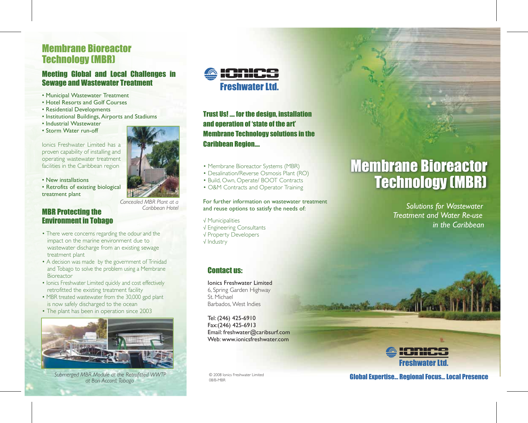# Membrane Bioreactor Technology (MBR)

## Meeting Global and Local Challenges in Sewage and Wastewater Treatment

- Municipal Wastewater Treatment
- Hotel Resorts and Golf Courses
- Residential Developments
- Institutional Buildings, Airports and Stadiums
- Industrial Wastewater
- Storm Water run-off

Ionics Freshwater Limited has a proven capability of installing and operating wastewater treatment facilities in the Caribbean region

- New installations
- Retrofits of existing biological treatment plant



- Environment in Tobago
- There were concerns regarding the odour and the impact on the marine environment due to wastewater discharge from an existing sewage treatment plant
- A decision was made by the government of Trinidad and Tobago to solve the problem using a Membrane Bioreactor
- Ionics Freshwater Limited quickly and cost effectively retrofitted the existing treatment facility
- MBR treated wastewater from the 30,000 gpd plant is now safely discharged to the ocean
- The plant has been in operation since 2003



*Submerged MBR Module at the Retrofitted WWTP at Bon Accord, Tobago*



*Concealed MBR Plant at a Caribbean Hotel*



Trust Us! …. for the design, installation and operation of 'state of the art' Membrane Technology solutions in the Caribbean Region….

- Membrane Bioreactor Systems (MBR)
- Desalination/Reverse Osmosis Plant (RO)
- Build, Own, Operate/ BOOT Contracts
- O&M Contracts and Operator Training

#### For further information on wastewater treatment and reuse options to satisfy the needs of:

√ Municipalities √ Engineering Consultants √ Property Developers √ Industry

## Contact us:

Ionics Freshwater Limited 6, Spring Garden Highway St. Michael Barbados, West Indies

Tel: (246) 425-6910 Fax:(246) 425-6913 Email: freshwater@caribsurf.com Web: www.ionicsfreshwater.com

# Membrane Bioreactor Technology (MBR)

*Solutions for Wastewater Treatment and Water Re-use in the Caribbean*



Global Expertise... Regional Focus... Local Presence